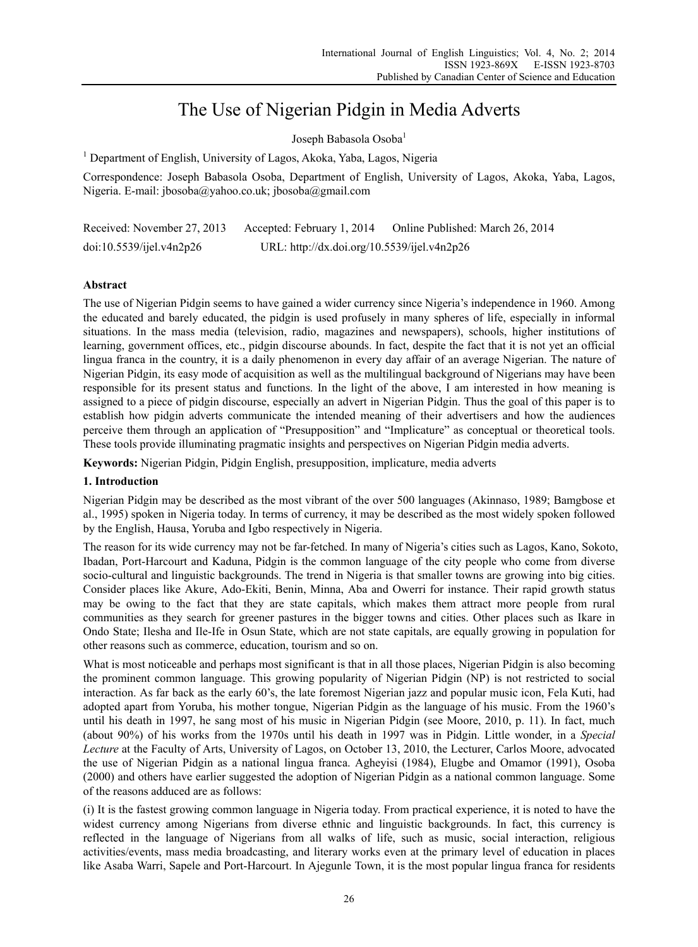# The Use of Nigerian Pidgin in Media Adverts

Joseph Babasola Osoba<sup>1</sup>

<sup>1</sup> Department of English, University of Lagos, Akoka, Yaba, Lagos, Nigeria

Correspondence: Joseph Babasola Osoba, Department of English, University of Lagos, Akoka, Yaba, Lagos, Nigeria. E-mail: jbosoba@yahoo.co.uk; jbosoba@gmail.com

| Received: November 27, 2013 | Accepted: February 1, 2014                  | Online Published: March 26, 2014 |
|-----------------------------|---------------------------------------------|----------------------------------|
| doi:10.5539/ijel.v4n2p26    | URL: http://dx.doi.org/10.5539/ijel.v4n2p26 |                                  |

## **Abstract**

The use of Nigerian Pidgin seems to have gained a wider currency since Nigeria's independence in 1960. Among the educated and barely educated, the pidgin is used profusely in many spheres of life, especially in informal situations. In the mass media (television, radio, magazines and newspapers), schools, higher institutions of learning, government offices, etc., pidgin discourse abounds. In fact, despite the fact that it is not yet an official lingua franca in the country, it is a daily phenomenon in every day affair of an average Nigerian. The nature of Nigerian Pidgin, its easy mode of acquisition as well as the multilingual background of Nigerians may have been responsible for its present status and functions. In the light of the above, I am interested in how meaning is assigned to a piece of pidgin discourse, especially an advert in Nigerian Pidgin. Thus the goal of this paper is to establish how pidgin adverts communicate the intended meaning of their advertisers and how the audiences perceive them through an application of "Presupposition" and "Implicature" as conceptual or theoretical tools. These tools provide illuminating pragmatic insights and perspectives on Nigerian Pidgin media adverts.

**Keywords:** Nigerian Pidgin, Pidgin English, presupposition, implicature, media adverts

## **1. Introduction**

Nigerian Pidgin may be described as the most vibrant of the over 500 languages (Akinnaso, 1989; Bamgbose et al., 1995) spoken in Nigeria today. In terms of currency, it may be described as the most widely spoken followed by the English, Hausa, Yoruba and Igbo respectively in Nigeria.

The reason for its wide currency may not be far-fetched. In many of Nigeria's cities such as Lagos, Kano, Sokoto, Ibadan, Port-Harcourt and Kaduna, Pidgin is the common language of the city people who come from diverse socio-cultural and linguistic backgrounds. The trend in Nigeria is that smaller towns are growing into big cities. Consider places like Akure, Ado-Ekiti, Benin, Minna, Aba and Owerri for instance. Their rapid growth status may be owing to the fact that they are state capitals, which makes them attract more people from rural communities as they search for greener pastures in the bigger towns and cities. Other places such as Ikare in Ondo State; Ilesha and Ile-Ife in Osun State, which are not state capitals, are equally growing in population for other reasons such as commerce, education, tourism and so on.

What is most noticeable and perhaps most significant is that in all those places, Nigerian Pidgin is also becoming the prominent common language. This growing popularity of Nigerian Pidgin (NP) is not restricted to social interaction. As far back as the early 60's, the late foremost Nigerian jazz and popular music icon, Fela Kuti, had adopted apart from Yoruba, his mother tongue, Nigerian Pidgin as the language of his music. From the 1960's until his death in 1997, he sang most of his music in Nigerian Pidgin (see Moore, 2010, p. 11). In fact, much (about 90%) of his works from the 1970s until his death in 1997 was in Pidgin. Little wonder, in a *Special Lecture* at the Faculty of Arts, University of Lagos, on October 13, 2010, the Lecturer, Carlos Moore, advocated the use of Nigerian Pidgin as a national lingua franca. Agheyisi (1984), Elugbe and Omamor (1991), Osoba (2000) and others have earlier suggested the adoption of Nigerian Pidgin as a national common language. Some of the reasons adduced are as follows:

(i) It is the fastest growing common language in Nigeria today. From practical experience, it is noted to have the widest currency among Nigerians from diverse ethnic and linguistic backgrounds. In fact, this currency is reflected in the language of Nigerians from all walks of life, such as music, social interaction, religious activities/events, mass media broadcasting, and literary works even at the primary level of education in places like Asaba Warri, Sapele and Port-Harcourt. In Ajegunle Town, it is the most popular lingua franca for residents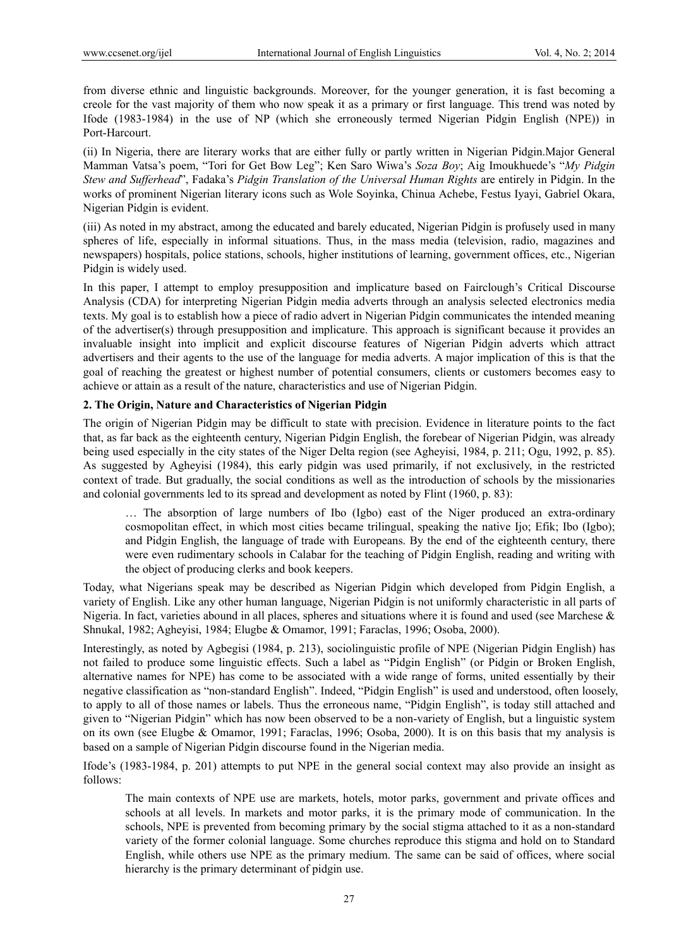from diverse ethnic and linguistic backgrounds. Moreover, for the younger generation, it is fast becoming a creole for the vast majority of them who now speak it as a primary or first language. This trend was noted by Ifode (1983-1984) in the use of NP (which she erroneously termed Nigerian Pidgin English (NPE)) in Port-Harcourt.

(ii) In Nigeria, there are literary works that are either fully or partly written in Nigerian Pidgin.Major General Mamman Vatsa's poem, "Tori for Get Bow Leg"; Ken Saro Wiwa's *Soza Boy*; Aig Imoukhuede's "*My Pidgin Stew and Sufferhead*", Fadaka's *Pidgin Translation of the Universal Human Rights* are entirely in Pidgin. In the works of prominent Nigerian literary icons such as Wole Soyinka, Chinua Achebe, Festus Iyayi, Gabriel Okara, Nigerian Pidgin is evident.

(iii) As noted in my abstract, among the educated and barely educated, Nigerian Pidgin is profusely used in many spheres of life, especially in informal situations. Thus, in the mass media (television, radio, magazines and newspapers) hospitals, police stations, schools, higher institutions of learning, government offices, etc., Nigerian Pidgin is widely used.

In this paper, I attempt to employ presupposition and implicature based on Fairclough's Critical Discourse Analysis (CDA) for interpreting Nigerian Pidgin media adverts through an analysis selected electronics media texts. My goal is to establish how a piece of radio advert in Nigerian Pidgin communicates the intended meaning of the advertiser(s) through presupposition and implicature. This approach is significant because it provides an invaluable insight into implicit and explicit discourse features of Nigerian Pidgin adverts which attract advertisers and their agents to the use of the language for media adverts. A major implication of this is that the goal of reaching the greatest or highest number of potential consumers, clients or customers becomes easy to achieve or attain as a result of the nature, characteristics and use of Nigerian Pidgin.

## **2. The Origin, Nature and Characteristics of Nigerian Pidgin**

The origin of Nigerian Pidgin may be difficult to state with precision. Evidence in literature points to the fact that, as far back as the eighteenth century, Nigerian Pidgin English, the forebear of Nigerian Pidgin, was already being used especially in the city states of the Niger Delta region (see Agheyisi, 1984, p. 211; Ogu, 1992, p. 85). As suggested by Agheyisi (1984), this early pidgin was used primarily, if not exclusively, in the restricted context of trade. But gradually, the social conditions as well as the introduction of schools by the missionaries and colonial governments led to its spread and development as noted by Flint (1960, p. 83):

… The absorption of large numbers of Ibo (Igbo) east of the Niger produced an extra-ordinary cosmopolitan effect, in which most cities became trilingual, speaking the native Ijo; Efik; Ibo (Igbo); and Pidgin English, the language of trade with Europeans. By the end of the eighteenth century, there were even rudimentary schools in Calabar for the teaching of Pidgin English, reading and writing with the object of producing clerks and book keepers.

Today, what Nigerians speak may be described as Nigerian Pidgin which developed from Pidgin English, a variety of English. Like any other human language, Nigerian Pidgin is not uniformly characteristic in all parts of Nigeria. In fact, varieties abound in all places, spheres and situations where it is found and used (see Marchese  $\&$ Shnukal, 1982; Agheyisi, 1984; Elugbe & Omamor, 1991; Faraclas, 1996; Osoba, 2000).

Interestingly, as noted by Agbegisi (1984, p. 213), sociolinguistic profile of NPE (Nigerian Pidgin English) has not failed to produce some linguistic effects. Such a label as "Pidgin English" (or Pidgin or Broken English, alternative names for NPE) has come to be associated with a wide range of forms, united essentially by their negative classification as "non-standard English". Indeed, "Pidgin English" is used and understood, often loosely, to apply to all of those names or labels. Thus the erroneous name, "Pidgin English", is today still attached and given to "Nigerian Pidgin" which has now been observed to be a non-variety of English, but a linguistic system on its own (see Elugbe & Omamor, 1991; Faraclas, 1996; Osoba, 2000). It is on this basis that my analysis is based on a sample of Nigerian Pidgin discourse found in the Nigerian media.

Ifode's (1983-1984, p. 201) attempts to put NPE in the general social context may also provide an insight as follows:

The main contexts of NPE use are markets, hotels, motor parks, government and private offices and schools at all levels. In markets and motor parks, it is the primary mode of communication. In the schools, NPE is prevented from becoming primary by the social stigma attached to it as a non-standard variety of the former colonial language. Some churches reproduce this stigma and hold on to Standard English, while others use NPE as the primary medium. The same can be said of offices, where social hierarchy is the primary determinant of pidgin use.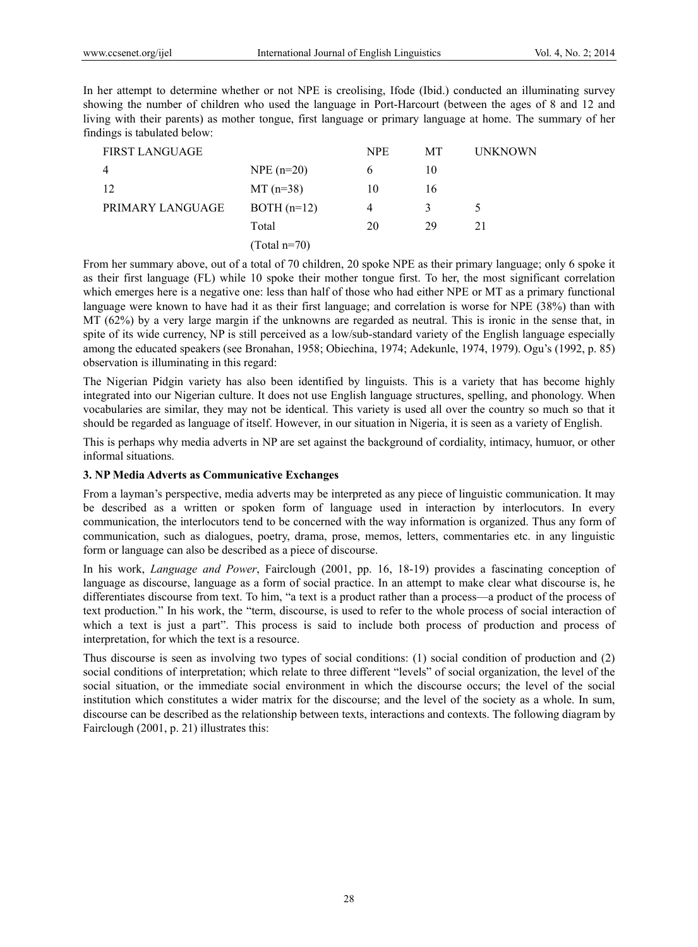In her attempt to determine whether or not NPE is creolising, Ifode (Ibid.) conducted an illuminating survey showing the number of children who used the language in Port-Harcourt (between the ages of 8 and 12 and living with their parents) as mother tongue, first language or primary language at home. The summary of her findings is tabulated below:

| <b>FIRST LANGUAGE</b> |                | <b>NPE</b> | MT | <b>UNKNOWN</b> |
|-----------------------|----------------|------------|----|----------------|
| $\overline{4}$        | $NPE (n=20)$   | 6          | 10 |                |
| 12                    | $MT(n=38)$     | 10         | 16 |                |
| PRIMARY LANGUAGE      | $BOTH (n=12)$  | 4          |    | 5              |
|                       | Total          | 20         | 29 | 21             |
|                       | $(Total n=70)$ |            |    |                |

From her summary above, out of a total of 70 children, 20 spoke NPE as their primary language; only 6 spoke it as their first language (FL) while 10 spoke their mother tongue first. To her, the most significant correlation which emerges here is a negative one: less than half of those who had either NPE or MT as a primary functional language were known to have had it as their first language; and correlation is worse for NPE (38%) than with MT (62%) by a very large margin if the unknowns are regarded as neutral. This is ironic in the sense that, in spite of its wide currency, NP is still perceived as a low/sub-standard variety of the English language especially among the educated speakers (see Bronahan, 1958; Obiechina, 1974; Adekunle, 1974, 1979). Ogu's (1992, p. 85) observation is illuminating in this regard:

The Nigerian Pidgin variety has also been identified by linguists. This is a variety that has become highly integrated into our Nigerian culture. It does not use English language structures, spelling, and phonology. When vocabularies are similar, they may not be identical. This variety is used all over the country so much so that it should be regarded as language of itself. However, in our situation in Nigeria, it is seen as a variety of English.

This is perhaps why media adverts in NP are set against the background of cordiality, intimacy, humuor, or other informal situations.

## **3. NP Media Adverts as Communicative Exchanges**

From a layman's perspective, media adverts may be interpreted as any piece of linguistic communication. It may be described as a written or spoken form of language used in interaction by interlocutors. In every communication, the interlocutors tend to be concerned with the way information is organized. Thus any form of communication, such as dialogues, poetry, drama, prose, memos, letters, commentaries etc. in any linguistic form or language can also be described as a piece of discourse.

In his work, *Language and Power*, Fairclough (2001, pp. 16, 18-19) provides a fascinating conception of language as discourse, language as a form of social practice. In an attempt to make clear what discourse is, he differentiates discourse from text. To him, "a text is a product rather than a process—a product of the process of text production." In his work, the "term, discourse, is used to refer to the whole process of social interaction of which a text is just a part". This process is said to include both process of production and process of interpretation, for which the text is a resource.

Thus discourse is seen as involving two types of social conditions: (1) social condition of production and (2) social conditions of interpretation; which relate to three different "levels" of social organization, the level of the social situation, or the immediate social environment in which the discourse occurs; the level of the social institution which constitutes a wider matrix for the discourse; and the level of the society as a whole. In sum, discourse can be described as the relationship between texts, interactions and contexts. The following diagram by Fairclough (2001, p. 21) illustrates this: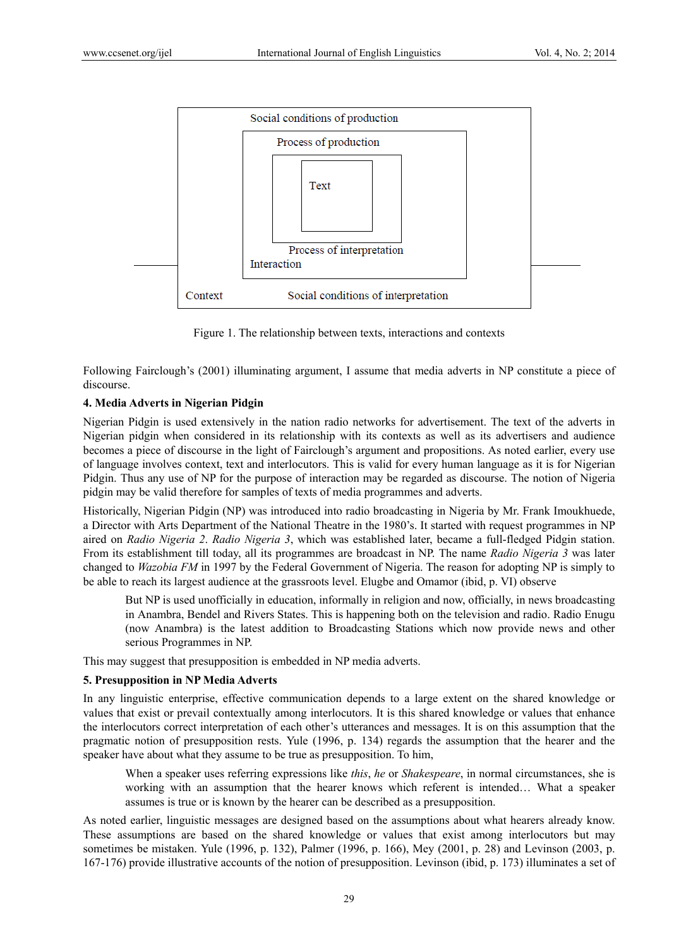

Figure 1. The relationship between texts, interactions and contexts

Following Fairclough's (2001) illuminating argument, I assume that media adverts in NP constitute a piece of discourse.

# **4. Media Adverts in Nigerian Pidgin**

Nigerian Pidgin is used extensively in the nation radio networks for advertisement. The text of the adverts in Nigerian pidgin when considered in its relationship with its contexts as well as its advertisers and audience becomes a piece of discourse in the light of Fairclough's argument and propositions. As noted earlier, every use of language involves context, text and interlocutors. This is valid for every human language as it is for Nigerian Pidgin. Thus any use of NP for the purpose of interaction may be regarded as discourse. The notion of Nigeria pidgin may be valid therefore for samples of texts of media programmes and adverts.

Historically, Nigerian Pidgin (NP) was introduced into radio broadcasting in Nigeria by Mr. Frank Imoukhuede, a Director with Arts Department of the National Theatre in the 1980's. It started with request programmes in NP aired on *Radio Nigeria 2*. *Radio Nigeria 3*, which was established later, became a full-fledged Pidgin station. From its establishment till today, all its programmes are broadcast in NP. The name *Radio Nigeria 3* was later changed to *Wazobia FM* in 1997 by the Federal Government of Nigeria. The reason for adopting NP is simply to be able to reach its largest audience at the grassroots level. Elugbe and Omamor (ibid, p. VI) observe

But NP is used unofficially in education, informally in religion and now, officially, in news broadcasting in Anambra, Bendel and Rivers States. This is happening both on the television and radio. Radio Enugu (now Anambra) is the latest addition to Broadcasting Stations which now provide news and other serious Programmes in NP.

This may suggest that presupposition is embedded in NP media adverts.

# **5. Presupposition in NP Media Adverts**

In any linguistic enterprise, effective communication depends to a large extent on the shared knowledge or values that exist or prevail contextually among interlocutors. It is this shared knowledge or values that enhance the interlocutors correct interpretation of each other's utterances and messages. It is on this assumption that the pragmatic notion of presupposition rests. Yule (1996, p. 134) regards the assumption that the hearer and the speaker have about what they assume to be true as presupposition. To him,

When a speaker uses referring expressions like *this*, *he* or *Shakespeare*, in normal circumstances, she is working with an assumption that the hearer knows which referent is intended… What a speaker assumes is true or is known by the hearer can be described as a presupposition.

As noted earlier, linguistic messages are designed based on the assumptions about what hearers already know. These assumptions are based on the shared knowledge or values that exist among interlocutors but may sometimes be mistaken. Yule (1996, p. 132), Palmer (1996, p. 166), Mey (2001, p. 28) and Levinson (2003, p. 167-176) provide illustrative accounts of the notion of presupposition. Levinson (ibid, p. 173) illuminates a set of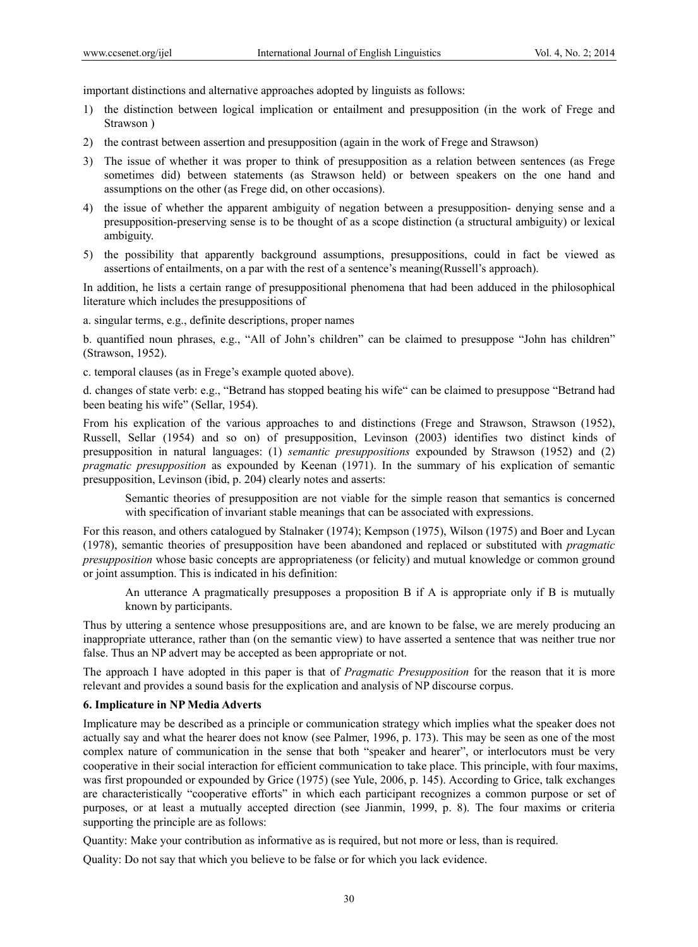important distinctions and alternative approaches adopted by linguists as follows:

- 1) the distinction between logical implication or entailment and presupposition (in the work of Frege and Strawson )
- 2) the contrast between assertion and presupposition (again in the work of Frege and Strawson)
- 3) The issue of whether it was proper to think of presupposition as a relation between sentences (as Frege sometimes did) between statements (as Strawson held) or between speakers on the one hand and assumptions on the other (as Frege did, on other occasions).
- 4) the issue of whether the apparent ambiguity of negation between a presupposition- denying sense and a presupposition-preserving sense is to be thought of as a scope distinction (a structural ambiguity) or lexical ambiguity.
- 5) the possibility that apparently background assumptions, presuppositions, could in fact be viewed as assertions of entailments, on a par with the rest of a sentence's meaning(Russell's approach).

In addition, he lists a certain range of presuppositional phenomena that had been adduced in the philosophical literature which includes the presuppositions of

a. singular terms, e.g., definite descriptions, proper names

b. quantified noun phrases, e.g., "All of John's children" can be claimed to presuppose "John has children" (Strawson, 1952).

c. temporal clauses (as in Frege's example quoted above).

d. changes of state verb: e.g., "Betrand has stopped beating his wife" can be claimed to presuppose "Betrand had been beating his wife" (Sellar, 1954).

From his explication of the various approaches to and distinctions (Frege and Strawson, Strawson (1952), Russell, Sellar (1954) and so on) of presupposition, Levinson (2003) identifies two distinct kinds of presupposition in natural languages: (1) *semantic presuppositions* expounded by Strawson (1952) and (2) *pragmatic presupposition* as expounded by Keenan (1971). In the summary of his explication of semantic presupposition, Levinson (ibid, p. 204) clearly notes and asserts:

Semantic theories of presupposition are not viable for the simple reason that semantics is concerned with specification of invariant stable meanings that can be associated with expressions.

For this reason, and others catalogued by Stalnaker (1974); Kempson (1975), Wilson (1975) and Boer and Lycan (1978), semantic theories of presupposition have been abandoned and replaced or substituted with *pragmatic presupposition* whose basic concepts are appropriateness (or felicity) and mutual knowledge or common ground or joint assumption. This is indicated in his definition:

An utterance A pragmatically presupposes a proposition B if A is appropriate only if B is mutually known by participants.

Thus by uttering a sentence whose presuppositions are, and are known to be false, we are merely producing an inappropriate utterance, rather than (on the semantic view) to have asserted a sentence that was neither true nor false. Thus an NP advert may be accepted as been appropriate or not.

The approach I have adopted in this paper is that of *Pragmatic Presupposition* for the reason that it is more relevant and provides a sound basis for the explication and analysis of NP discourse corpus.

## **6. Implicature in NP Media Adverts**

Implicature may be described as a principle or communication strategy which implies what the speaker does not actually say and what the hearer does not know (see Palmer, 1996, p. 173). This may be seen as one of the most complex nature of communication in the sense that both "speaker and hearer", or interlocutors must be very cooperative in their social interaction for efficient communication to take place. This principle, with four maxims, was first propounded or expounded by Grice (1975) (see Yule, 2006, p. 145). According to Grice, talk exchanges are characteristically "cooperative efforts" in which each participant recognizes a common purpose or set of purposes, or at least a mutually accepted direction (see Jianmin, 1999, p. 8). The four maxims or criteria supporting the principle are as follows:

Quantity: Make your contribution as informative as is required, but not more or less, than is required.

Quality: Do not say that which you believe to be false or for which you lack evidence.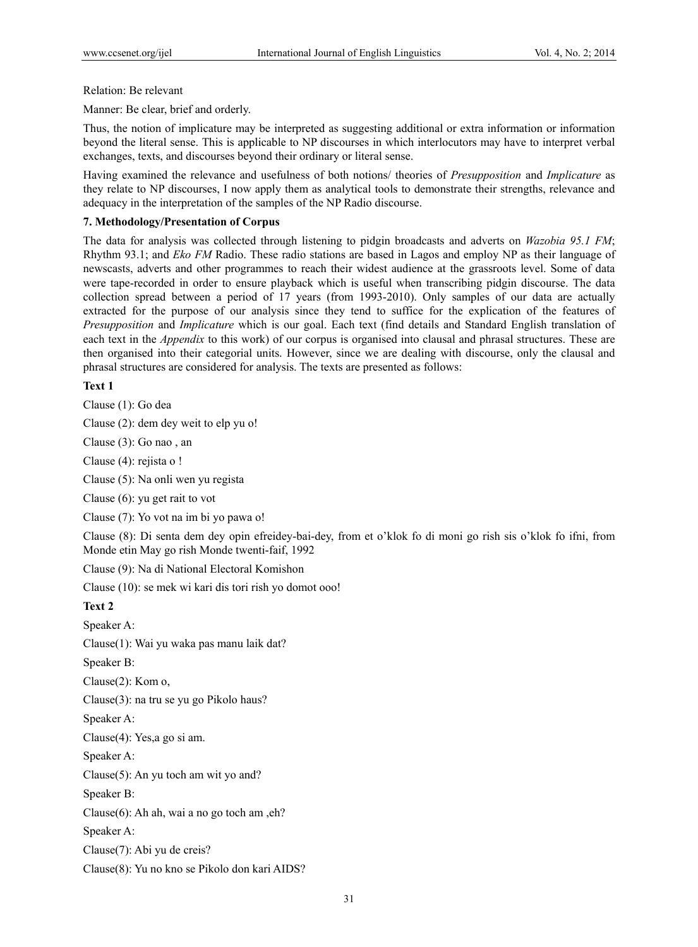Relation: Be relevant

Manner: Be clear, brief and orderly.

Thus, the notion of implicature may be interpreted as suggesting additional or extra information or information beyond the literal sense. This is applicable to NP discourses in which interlocutors may have to interpret verbal exchanges, texts, and discourses beyond their ordinary or literal sense.

Having examined the relevance and usefulness of both notions/ theories of *Presupposition* and *Implicature* as they relate to NP discourses, I now apply them as analytical tools to demonstrate their strengths, relevance and adequacy in the interpretation of the samples of the NP Radio discourse.

#### **7. Methodology/Presentation of Corpus**

The data for analysis was collected through listening to pidgin broadcasts and adverts on *Wazobia 95.1 FM*; Rhythm 93.1; and *Eko FM* Radio. These radio stations are based in Lagos and employ NP as their language of newscasts, adverts and other programmes to reach their widest audience at the grassroots level. Some of data were tape-recorded in order to ensure playback which is useful when transcribing pidgin discourse. The data collection spread between a period of 17 years (from 1993-2010). Only samples of our data are actually extracted for the purpose of our analysis since they tend to suffice for the explication of the features of *Presupposition* and *Implicature* which is our goal. Each text (find details and Standard English translation of each text in the *Appendix* to this work) of our corpus is organised into clausal and phrasal structures. These are then organised into their categorial units. However, since we are dealing with discourse, only the clausal and phrasal structures are considered for analysis. The texts are presented as follows:

**Text 1** 

Clause (1): Go dea

Clause (2): dem dey weit to elp yu o!

Clause (3): Go nao , an

Clause (4): rejista o !

Clause (5): Na onli wen yu regista

Clause (6): yu get rait to vot

Clause (7): Yo vot na im bi yo pawa o!

Clause (8): Di senta dem dey opin efreidey-bai-dey, from et o'klok fo di moni go rish sis o'klok fo ifni, from Monde etin May go rish Monde twenti-faif, 1992

Clause (9): Na di National Electoral Komishon

Clause (10): se mek wi kari dis tori rish yo domot ooo!

**Text 2** 

Speaker A:

Clause(1): Wai yu waka pas manu laik dat?

Speaker B:

Clause(2): Kom o,

Clause(3): na tru se yu go Pikolo haus?

Speaker A:

Clause(4): Yes,a go si am.

Speaker A:

Clause(5): An yu toch am wit yo and?

Speaker B:

Clause(6): Ah ah, wai a no go toch am ,eh?

Speaker A:

Clause(7): Abi yu de creis?

Clause(8): Yu no kno se Pikolo don kari AIDS?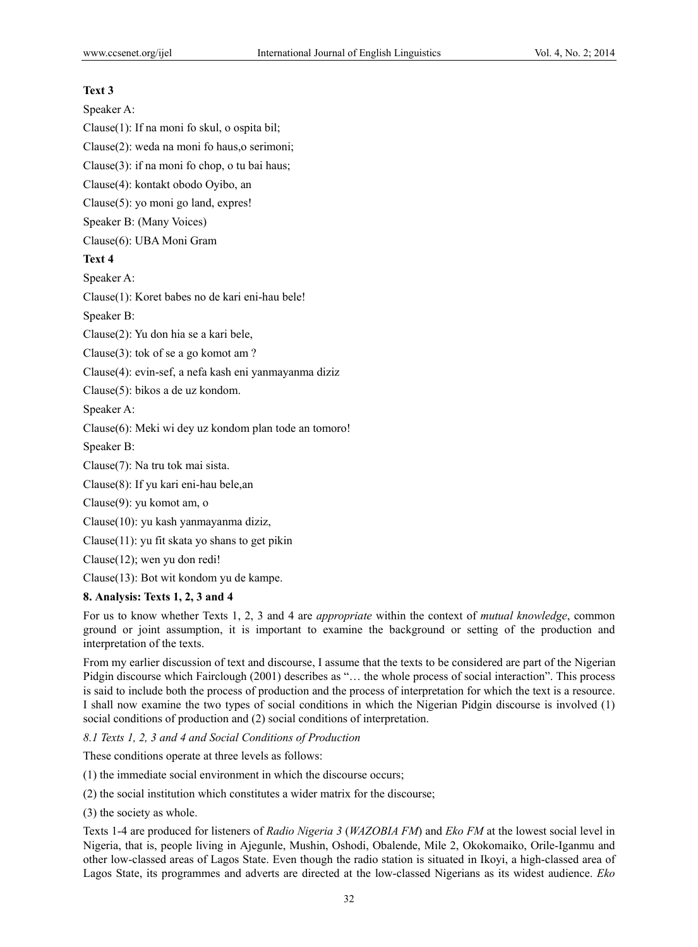## **Text 3**

Speaker A:

Clause(1): If na moni fo skul, o ospita bil;

Clause(2): weda na moni fo haus,o serimoni;

Clause(3): if na moni fo chop, o tu bai haus;

Clause(4): kontakt obodo Oyibo, an

Clause(5): yo moni go land, expres!

Speaker B: (Many Voices)

Clause(6): UBA Moni Gram

# **Text 4**

Speaker A:

Clause(1): Koret babes no de kari eni-hau bele!

Speaker B:

Clause(2): Yu don hia se a kari bele,

Clause(3): tok of se a go komot am ?

Clause(4): evin-sef, a nefa kash eni yanmayanma diziz

Clause(5): bikos a de uz kondom.

Speaker A:

Clause(6): Meki wi dey uz kondom plan tode an tomoro!

Speaker B:

Clause(7): Na tru tok mai sista.

Clause(8): If yu kari eni-hau bele,an

Clause(9): yu komot am, o

Clause(10): yu kash yanmayanma diziz,

Clause(11): yu fit skata yo shans to get pikin

Clause(12); wen yu don redi!

Clause(13): Bot wit kondom yu de kampe.

## **8. Analysis: Texts 1, 2, 3 and 4**

For us to know whether Texts 1, 2, 3 and 4 are *appropriate* within the context of *mutual knowledge*, common ground or joint assumption, it is important to examine the background or setting of the production and interpretation of the texts.

From my earlier discussion of text and discourse, I assume that the texts to be considered are part of the Nigerian Pidgin discourse which Fairclough (2001) describes as "… the whole process of social interaction". This process is said to include both the process of production and the process of interpretation for which the text is a resource. I shall now examine the two types of social conditions in which the Nigerian Pidgin discourse is involved (1) social conditions of production and (2) social conditions of interpretation.

*8.1 Texts 1, 2, 3 and 4 and Social Conditions of Production* 

These conditions operate at three levels as follows:

(1) the immediate social environment in which the discourse occurs;

(2) the social institution which constitutes a wider matrix for the discourse;

(3) the society as whole.

Texts 1-4 are produced for listeners of *Radio Nigeria 3* (*WAZOBIA FM*) and *Eko FM* at the lowest social level in Nigeria, that is, people living in Ajegunle, Mushin, Oshodi, Obalende, Mile 2, Okokomaiko, Orile-Iganmu and other low-classed areas of Lagos State. Even though the radio station is situated in Ikoyi, a high-classed area of Lagos State, its programmes and adverts are directed at the low-classed Nigerians as its widest audience. *Eko*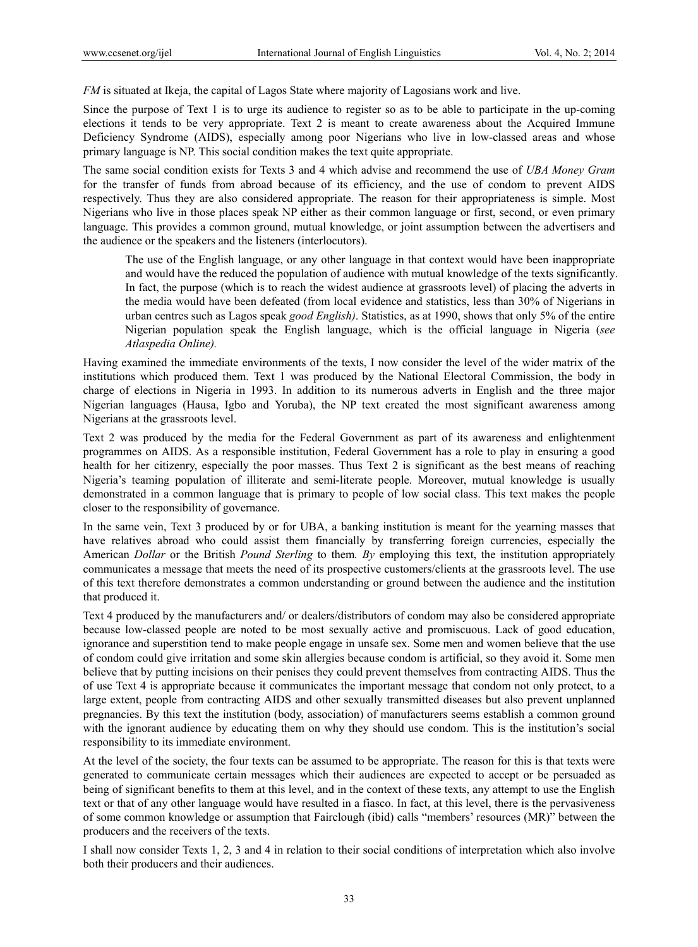*FM* is situated at Ikeja, the capital of Lagos State where majority of Lagosians work and live.

Since the purpose of Text 1 is to urge its audience to register so as to be able to participate in the up-coming elections it tends to be very appropriate. Text 2 is meant to create awareness about the Acquired Immune Deficiency Syndrome (AIDS), especially among poor Nigerians who live in low-classed areas and whose primary language is NP. This social condition makes the text quite appropriate.

The same social condition exists for Texts 3 and 4 which advise and recommend the use of *UBA Money Gram* for the transfer of funds from abroad because of its efficiency, and the use of condom to prevent AIDS respectively. Thus they are also considered appropriate. The reason for their appropriateness is simple. Most Nigerians who live in those places speak NP either as their common language or first, second, or even primary language. This provides a common ground, mutual knowledge, or joint assumption between the advertisers and the audience or the speakers and the listeners (interlocutors).

The use of the English language, or any other language in that context would have been inappropriate and would have the reduced the population of audience with mutual knowledge of the texts significantly. In fact, the purpose (which is to reach the widest audience at grassroots level) of placing the adverts in the media would have been defeated (from local evidence and statistics, less than 30% of Nigerians in urban centres such as Lagos speak *good English)*. Statistics, as at 1990, shows that only 5% of the entire Nigerian population speak the English language, which is the official language in Nigeria (*see Atlaspedia Online).*

Having examined the immediate environments of the texts, I now consider the level of the wider matrix of the institutions which produced them. Text 1 was produced by the National Electoral Commission, the body in charge of elections in Nigeria in 1993. In addition to its numerous adverts in English and the three major Nigerian languages (Hausa, Igbo and Yoruba), the NP text created the most significant awareness among Nigerians at the grassroots level.

Text 2 was produced by the media for the Federal Government as part of its awareness and enlightenment programmes on AIDS. As a responsible institution, Federal Government has a role to play in ensuring a good health for her citizenry, especially the poor masses. Thus Text 2 is significant as the best means of reaching Nigeria's teaming population of illiterate and semi-literate people. Moreover, mutual knowledge is usually demonstrated in a common language that is primary to people of low social class. This text makes the people closer to the responsibility of governance.

In the same vein, Text 3 produced by or for UBA, a banking institution is meant for the yearning masses that have relatives abroad who could assist them financially by transferring foreign currencies, especially the American *Dollar* or the British *Pound Sterling* to them*. By* employing this text, the institution appropriately communicates a message that meets the need of its prospective customers/clients at the grassroots level. The use of this text therefore demonstrates a common understanding or ground between the audience and the institution that produced it.

Text 4 produced by the manufacturers and/ or dealers/distributors of condom may also be considered appropriate because low-classed people are noted to be most sexually active and promiscuous. Lack of good education, ignorance and superstition tend to make people engage in unsafe sex. Some men and women believe that the use of condom could give irritation and some skin allergies because condom is artificial, so they avoid it. Some men believe that by putting incisions on their penises they could prevent themselves from contracting AIDS. Thus the of use Text 4 is appropriate because it communicates the important message that condom not only protect, to a large extent, people from contracting AIDS and other sexually transmitted diseases but also prevent unplanned pregnancies. By this text the institution (body, association) of manufacturers seems establish a common ground with the ignorant audience by educating them on why they should use condom. This is the institution's social responsibility to its immediate environment.

At the level of the society, the four texts can be assumed to be appropriate. The reason for this is that texts were generated to communicate certain messages which their audiences are expected to accept or be persuaded as being of significant benefits to them at this level, and in the context of these texts, any attempt to use the English text or that of any other language would have resulted in a fiasco. In fact, at this level, there is the pervasiveness of some common knowledge or assumption that Fairclough (ibid) calls "members' resources (MR)" between the producers and the receivers of the texts.

I shall now consider Texts 1, 2, 3 and 4 in relation to their social conditions of interpretation which also involve both their producers and their audiences.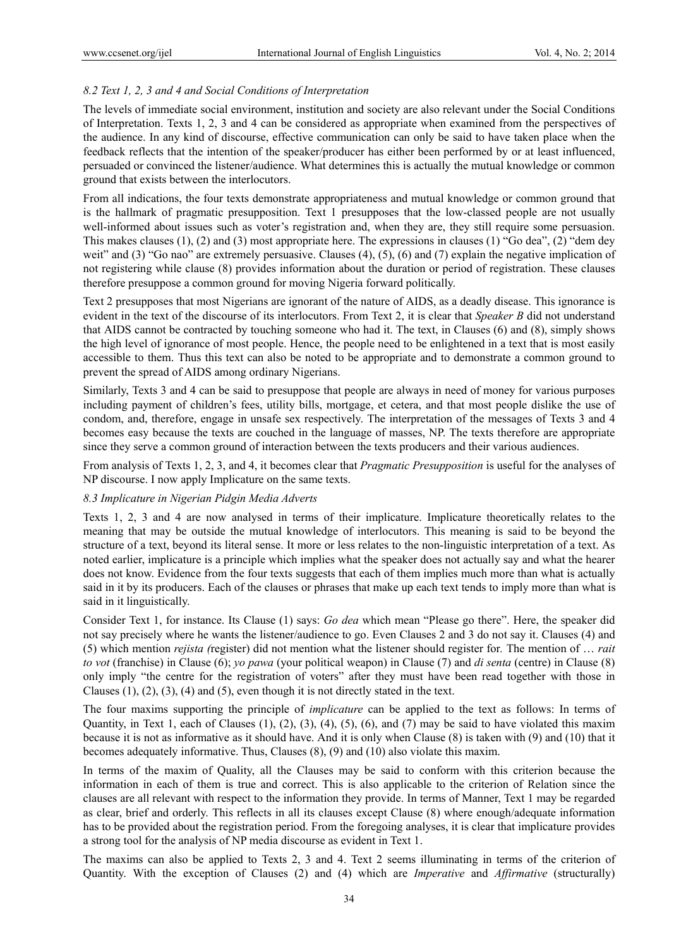## *8.2 Text 1, 2, 3 and 4 and Social Conditions of Interpretation*

The levels of immediate social environment, institution and society are also relevant under the Social Conditions of Interpretation. Texts 1, 2, 3 and 4 can be considered as appropriate when examined from the perspectives of the audience. In any kind of discourse, effective communication can only be said to have taken place when the feedback reflects that the intention of the speaker/producer has either been performed by or at least influenced, persuaded or convinced the listener/audience. What determines this is actually the mutual knowledge or common ground that exists between the interlocutors.

From all indications, the four texts demonstrate appropriateness and mutual knowledge or common ground that is the hallmark of pragmatic presupposition. Text 1 presupposes that the low-classed people are not usually well-informed about issues such as voter's registration and, when they are, they still require some persuasion. This makes clauses (1), (2) and (3) most appropriate here. The expressions in clauses (1) "Go dea", (2) "dem dey weit" and (3) "Go nao" are extremely persuasive. Clauses (4), (5), (6) and (7) explain the negative implication of not registering while clause (8) provides information about the duration or period of registration. These clauses therefore presuppose a common ground for moving Nigeria forward politically.

Text 2 presupposes that most Nigerians are ignorant of the nature of AIDS, as a deadly disease. This ignorance is evident in the text of the discourse of its interlocutors. From Text 2, it is clear that *Speaker B* did not understand that AIDS cannot be contracted by touching someone who had it. The text, in Clauses (6) and (8), simply shows the high level of ignorance of most people. Hence, the people need to be enlightened in a text that is most easily accessible to them. Thus this text can also be noted to be appropriate and to demonstrate a common ground to prevent the spread of AIDS among ordinary Nigerians.

Similarly, Texts 3 and 4 can be said to presuppose that people are always in need of money for various purposes including payment of children's fees, utility bills, mortgage, et cetera, and that most people dislike the use of condom, and, therefore, engage in unsafe sex respectively. The interpretation of the messages of Texts 3 and 4 becomes easy because the texts are couched in the language of masses, NP. The texts therefore are appropriate since they serve a common ground of interaction between the texts producers and their various audiences.

From analysis of Texts 1, 2, 3, and 4, it becomes clear that *Pragmatic Presupposition* is useful for the analyses of NP discourse. I now apply Implicature on the same texts.

## *8.3 Implicature in Nigerian Pidgin Media Adverts*

Texts 1, 2, 3 and 4 are now analysed in terms of their implicature. Implicature theoretically relates to the meaning that may be outside the mutual knowledge of interlocutors. This meaning is said to be beyond the structure of a text, beyond its literal sense. It more or less relates to the non-linguistic interpretation of a text. As noted earlier, implicature is a principle which implies what the speaker does not actually say and what the hearer does not know. Evidence from the four texts suggests that each of them implies much more than what is actually said in it by its producers. Each of the clauses or phrases that make up each text tends to imply more than what is said in it linguistically.

Consider Text 1, for instance. Its Clause (1) says: *Go dea* which mean "Please go there". Here, the speaker did not say precisely where he wants the listener/audience to go. Even Clauses 2 and 3 do not say it. Clauses (4) and (5) which mention *rejista (*register) did not mention what the listener should register for*.* The mention of … *rait to vot* (franchise) in Clause (6); *yo pawa* (your political weapon) in Clause (7) and *di senta* (centre) in Clause (8) only imply "the centre for the registration of voters" after they must have been read together with those in Clauses  $(1)$ ,  $(2)$ ,  $(3)$ ,  $(4)$  and  $(5)$ , even though it is not directly stated in the text.

The four maxims supporting the principle of *implicature* can be applied to the text as follows: In terms of Quantity, in Text 1, each of Clauses  $(1)$ ,  $(2)$ ,  $(3)$ ,  $(4)$ ,  $(5)$ ,  $(6)$ , and  $(7)$  may be said to have violated this maxim because it is not as informative as it should have. And it is only when Clause (8) is taken with (9) and (10) that it becomes adequately informative. Thus, Clauses (8), (9) and (10) also violate this maxim.

In terms of the maxim of Quality, all the Clauses may be said to conform with this criterion because the information in each of them is true and correct. This is also applicable to the criterion of Relation since the clauses are all relevant with respect to the information they provide. In terms of Manner, Text 1 may be regarded as clear, brief and orderly. This reflects in all its clauses except Clause (8) where enough/adequate information has to be provided about the registration period. From the foregoing analyses, it is clear that implicature provides a strong tool for the analysis of NP media discourse as evident in Text 1.

The maxims can also be applied to Texts 2, 3 and 4. Text 2 seems illuminating in terms of the criterion of Quantity. With the exception of Clauses (2) and (4) which are *Imperative* and *Affirmative* (structurally)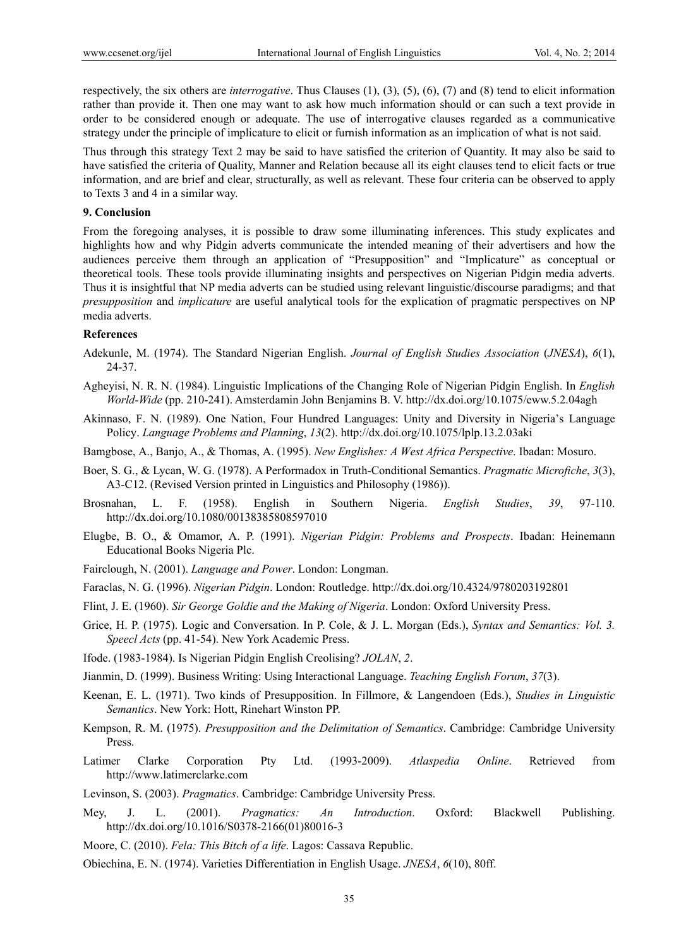respectively, the six others are *interrogative*. Thus Clauses (1), (3), (5), (6), (7) and (8) tend to elicit information rather than provide it. Then one may want to ask how much information should or can such a text provide in order to be considered enough or adequate. The use of interrogative clauses regarded as a communicative strategy under the principle of implicature to elicit or furnish information as an implication of what is not said.

Thus through this strategy Text 2 may be said to have satisfied the criterion of Quantity. It may also be said to have satisfied the criteria of Quality, Manner and Relation because all its eight clauses tend to elicit facts or true information, and are brief and clear, structurally, as well as relevant. These four criteria can be observed to apply to Texts 3 and 4 in a similar way.

#### **9. Conclusion**

From the foregoing analyses, it is possible to draw some illuminating inferences. This study explicates and highlights how and why Pidgin adverts communicate the intended meaning of their advertisers and how the audiences perceive them through an application of "Presupposition" and "Implicature" as conceptual or theoretical tools. These tools provide illuminating insights and perspectives on Nigerian Pidgin media adverts. Thus it is insightful that NP media adverts can be studied using relevant linguistic/discourse paradigms; and that *presupposition* and *implicature* are useful analytical tools for the explication of pragmatic perspectives on NP media adverts.

## **References**

- Adekunle, M. (1974). The Standard Nigerian English. *Journal of English Studies Association* (*JNESA*), *6*(1), 24-37.
- Agheyisi, N. R. N. (1984). Linguistic Implications of the Changing Role of Nigerian Pidgin English. In *English World-Wide* (pp. 210-241). Amsterdamin John Benjamins B. V. http://dx.doi.org/10.1075/eww.5.2.04agh
- Akinnaso, F. N. (1989). One Nation, Four Hundred Languages: Unity and Diversity in Nigeria's Language Policy. *Language Problems and Planning*, *13*(2). http://dx.doi.org/10.1075/lplp.13.2.03aki
- Bamgbose, A., Banjo, A., & Thomas, A. (1995). *New Englishes: A West Africa Perspective*. Ibadan: Mosuro.
- Boer, S. G., & Lycan, W. G. (1978). A Performadox in Truth-Conditional Semantics. *Pragmatic Microfiche*, *3*(3), A3-C12. (Revised Version printed in Linguistics and Philosophy (1986)).
- Brosnahan, L. F. (1958). English in Southern Nigeria. *English Studies*, *39*, 97-110. http://dx.doi.org/10.1080/00138385808597010
- Elugbe, B. O., & Omamor, A. P. (1991). *Nigerian Pidgin: Problems and Prospects*. Ibadan: Heinemann Educational Books Nigeria Plc.
- Fairclough, N. (2001). *Language and Power*. London: Longman.
- Faraclas, N. G. (1996). *Nigerian Pidgin*. London: Routledge. http://dx.doi.org/10.4324/9780203192801
- Flint, J. E. (1960). *Sir George Goldie and the Making of Nigeria*. London: Oxford University Press.
- Grice, H. P. (1975). Logic and Conversation. In P. Cole, & J. L. Morgan (Eds.), *Syntax and Semantics: Vol. 3. Speecl Acts* (pp. 41-54). New York Academic Press.
- Ifode. (1983-1984). Is Nigerian Pidgin English Creolising? *JOLAN*, *2*.
- Jianmin, D. (1999). Business Writing: Using Interactional Language. *Teaching English Forum*, *37*(3).
- Keenan, E. L. (1971). Two kinds of Presupposition. In Fillmore, & Langendoen (Eds.), *Studies in Linguistic Semantics*. New York: Hott, Rinehart Winston PP.
- Kempson, R. M. (1975). *Presupposition and the Delimitation of Semantics*. Cambridge: Cambridge University Press.
- Latimer Clarke Corporation Pty Ltd. (1993-2009). *Atlaspedia Online*. Retrieved from http://www.latimerclarke.com
- Levinson, S. (2003). *Pragmatics*. Cambridge: Cambridge University Press.
- Mey, J. L. (2001). *Pragmatics: An Introduction*. Oxford: Blackwell Publishing. http://dx.doi.org/10.1016/S0378-2166(01)80016-3
- Moore, C. (2010). *Fela: This Bitch of a life*. Lagos: Cassava Republic.
- Obiechina, E. N. (1974). Varieties Differentiation in English Usage. *JNESA*, *6*(10), 80ff.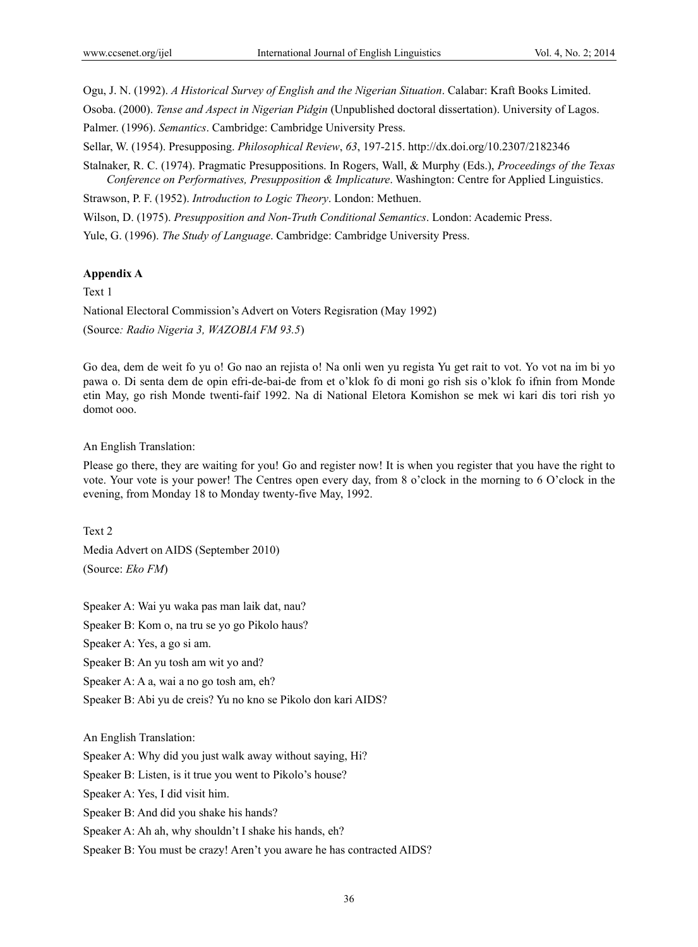Ogu, J. N. (1992). *A Historical Survey of English and the Nigerian Situation*. Calabar: Kraft Books Limited.

Osoba. (2000). *Tense and Aspect in Nigerian Pidgin* (Unpublished doctoral dissertation). University of Lagos.

Palmer. (1996). *Semantics*. Cambridge: Cambridge University Press.

Sellar, W. (1954). Presupposing. *Philosophical Review*, *63*, 197-215. http://dx.doi.org/10.2307/2182346

Stalnaker, R. C. (1974). Pragmatic Presuppositions. In Rogers, Wall, & Murphy (Eds.), *Proceedings of the Texas Conference on Performatives, Presupposition & Implicature*. Washington: Centre for Applied Linguistics.

Strawson, P. F. (1952). *Introduction to Logic Theory*. London: Methuen.

Wilson, D. (1975). *Presupposition and Non-Truth Conditional Semantics*. London: Academic Press.

Yule, G. (1996). *The Study of Language*. Cambridge: Cambridge University Press.

## **Appendix A**

Text 1

National Electoral Commission's Advert on Voters Regisration (May 1992)

(Source*: Radio Nigeria 3, WAZOBIA FM 93.5*)

Go dea, dem de weit fo yu o! Go nao an rejista o! Na onli wen yu regista Yu get rait to vot. Yo vot na im bi yo pawa o. Di senta dem de opin efri-de-bai-de from et o'klok fo di moni go rish sis o'klok fo ifnin from Monde etin May, go rish Monde twenti-faif 1992. Na di National Eletora Komishon se mek wi kari dis tori rish yo domot ooo.

## An English Translation:

Please go there, they are waiting for you! Go and register now! It is when you register that you have the right to vote. Your vote is your power! The Centres open every day, from 8 o'clock in the morning to 6 O'clock in the evening, from Monday 18 to Monday twenty-five May, 1992.

Text 2

Media Advert on AIDS (September 2010)

(Source: *Eko FM*)

Speaker A: Wai yu waka pas man laik dat, nau?

Speaker B: Kom o, na tru se yo go Pikolo haus?

Speaker A: Yes, a go si am.

Speaker B: An yu tosh am wit yo and?

Speaker A: A a, wai a no go tosh am, eh?

Speaker B: Abi yu de creis? Yu no kno se Pikolo don kari AIDS?

An English Translation:

Speaker A: Why did you just walk away without saying, Hi?

Speaker B: Listen, is it true you went to Pikolo's house?

Speaker A: Yes, I did visit him.

Speaker B: And did you shake his hands?

Speaker A: Ah ah, why shouldn't I shake his hands, eh?

Speaker B: You must be crazy! Aren't you aware he has contracted AIDS?